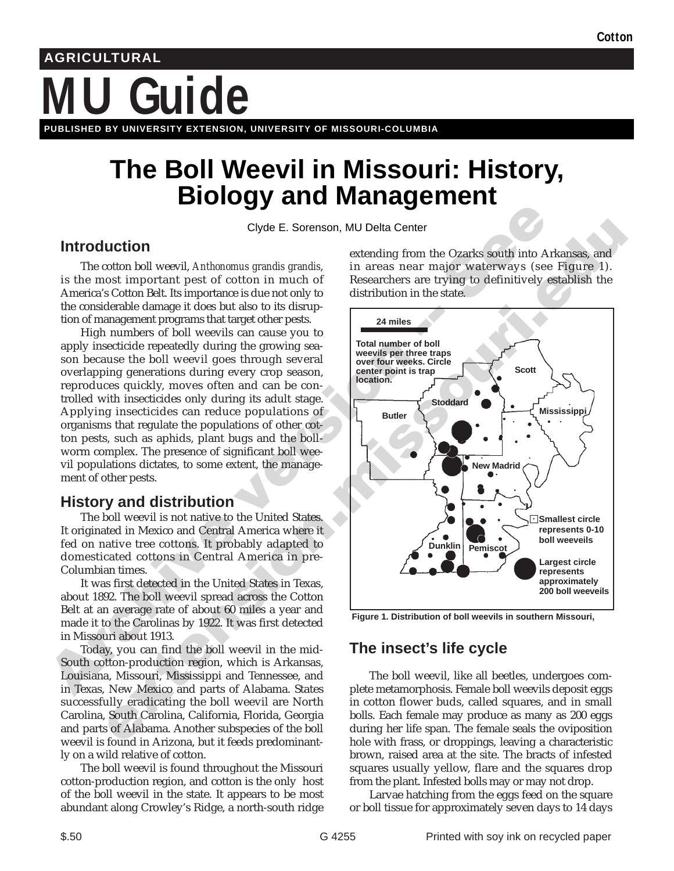# **MU Guide AGRICULTURAL PUBLISHED BY UNIVERSITY EXTENSION, UNIVERSITY OF MISSOURI-COLUMBIA**

## **The Boll Weevil in Missouri: History, Biology and Management**

Clyde E. Sorenson, MU Delta Center

### **Introduction**

The cotton boll weevil, *Anthonomus grandis grandis*, is the most important pest of cotton in much of America's Cotton Belt. Its importance is due not only to the considerable damage it does but also to its disruption of management programs that target other pests.

High numbers of boll weevils can cause you to apply insecticide repeatedly during the growing season because the boll weevil goes through several overlapping generations during every crop season, reproduces quickly, moves often and can be controlled with insecticides only during its adult stage. Applying insecticides can reduce populations of organisms that regulate the populations of other cotton pests, such as aphids, plant bugs and the bollworm complex. The presence of significant boll weevil populations dictates, to some extent, the management of other pests.

### **History and distribution**

The boll weevil is not native to the United States. It originated in Mexico and Central America where it fed on native tree cottons. It probably adapted to domesticated cottons in Central America in pre-Columbian times.

It was first detected in the United States in Texas, about 1892. The boll weevil spread across the Cotton Belt at an average rate of about 60 miles a year and made it to the Carolinas by 1922. It was first detected in Missouri about 1913.

Today, you can find the boll weevil in the mid-South cotton-production region, which is Arkansas, Louisiana, Missouri, Mississippi and Tennessee, and in Texas, New Mexico and parts of Alabama. States successfully eradicating the boll weevil are North Carolina, South Carolina, California, Florida, Georgia and parts of Alabama. Another subspecies of the boll weevil is found in Arizona, but it feeds predominantly on a wild relative of cotton.

The boll weevil is found throughout the Missouri cotton-production region, and cotton is the only host of the boll weevil in the state. It appears to be most abundant along Crowley's Ridge, a north-south ridge extending from the Ozarks south into Arkansas, and in areas near major waterways (see Figure 1). Researchers are trying to definitively establish the distribution in the state.



**Figure 1. Distribution of boll weevils in southern Missouri,**

## **The insect's life cycle**

The boll weevil, like all beetles, undergoes complete metamorphosis. Female boll weevils deposit eggs in cotton flower buds, called squares, and in small bolls. Each female may produce as many as 200 eggs during her life span. The female seals the oviposition hole with frass, or droppings, leaving a characteristic brown, raised area at the site. The bracts of infested squares usually yellow, flare and the squares drop from the plant. Infested bolls may or may not drop.

Larvae hatching from the eggs feed on the square or boll tissue for approximately seven days to 14 days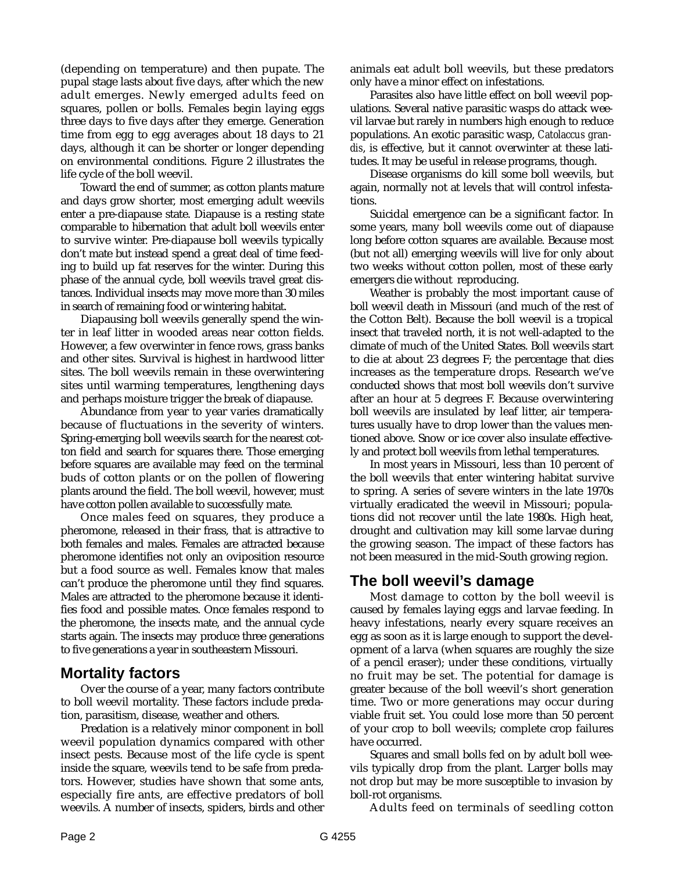(depending on temperature) and then pupate. The pupal stage lasts about five days, after which the new adult emerges. Newly emerged adults feed on squares, pollen or bolls. Females begin laying eggs three days to five days after they emerge. Generation time from egg to egg averages about 18 days to 21 days, although it can be shorter or longer depending on environmental conditions. Figure 2 illustrates the life cycle of the boll weevil.

Toward the end of summer, as cotton plants mature and days grow shorter, most emerging adult weevils enter a pre-diapause state. Diapause is a resting state comparable to hibernation that adult boll weevils enter to survive winter. Pre-diapause boll weevils typically don't mate but instead spend a great deal of time feeding to build up fat reserves for the winter. During this phase of the annual cycle, boll weevils travel great distances. Individual insects may move more than 30 miles in search of remaining food or wintering habitat.

Diapausing boll weevils generally spend the winter in leaf litter in wooded areas near cotton fields. However, a few overwinter in fence rows, grass banks and other sites. Survival is highest in hardwood litter sites. The boll weevils remain in these overwintering sites until warming temperatures, lengthening days and perhaps moisture trigger the break of diapause.

Abundance from year to year varies dramatically because of fluctuations in the severity of winters. Spring-emerging boll weevils search for the nearest cotton field and search for squares there. Those emerging before squares are available may feed on the terminal buds of cotton plants or on the pollen of flowering plants around the field. The boll weevil, however, must have cotton pollen available to successfully mate.

Once males feed on squares, they produce a pheromone, released in their frass, that is attractive to both females and males. Females are attracted because pheromone identifies not only an oviposition resource but a food source as well. Females know that males can't produce the pheromone until they find squares. Males are attracted to the pheromone because it identifies food and possible mates. Once females respond to the pheromone, the insects mate, and the annual cycle starts again. The insects may produce three generations to five generations a year in southeastern Missouri.

#### **Mortality factors**

Over the course of a year, many factors contribute to boll weevil mortality. These factors include predation, parasitism, disease, weather and others.

Predation is a relatively minor component in boll weevil population dynamics compared with other insect pests. Because most of the life cycle is spent inside the square, weevils tend to be safe from predators. However, studies have shown that some ants, especially fire ants, are effective predators of boll weevils. A number of insects, spiders, birds and other

animals eat adult boll weevils, but these predators only have a minor effect on infestations.

Parasites also have little effect on boll weevil populations. Several native parasitic wasps do attack weevil larvae but rarely in numbers high enough to reduce populations. An exotic parasitic wasp, *Catolaccus grandis*, is effective, but it cannot overwinter at these latitudes. It may be useful in release programs, though.

Disease organisms do kill some boll weevils, but again, normally not at levels that will control infestations.

Suicidal emergence can be a significant factor. In some years, many boll weevils come out of diapause long before cotton squares are available. Because most (but not all) emerging weevils will live for only about two weeks without cotton pollen, most of these early emergers die without reproducing.

Weather is probably the most important cause of boll weevil death in Missouri (and much of the rest of the Cotton Belt). Because the boll weevil is a tropical insect that traveled north, it is not well-adapted to the climate of much of the United States. Boll weevils start to die at about 23 degrees F; the percentage that dies increases as the temperature drops. Research we've conducted shows that most boll weevils don't survive after an hour at 5 degrees F. Because overwintering boll weevils are insulated by leaf litter, air temperatures usually have to drop lower than the values mentioned above. Snow or ice cover also insulate effectively and protect boll weevils from lethal temperatures.

In most years in Missouri, less than 10 percent of the boll weevils that enter wintering habitat survive to spring. A series of severe winters in the late 1970s virtually eradicated the weevil in Missouri; populations did not recover until the late 1980s. High heat, drought and cultivation may kill some larvae during the growing season. The impact of these factors has not been measured in the mid-South growing region.

#### **The boll weevil's damage**

Most damage to cotton by the boll weevil is caused by females laying eggs and larvae feeding. In heavy infestations, nearly every square receives an egg as soon as it is large enough to support the development of a larva (when squares are roughly the size of a pencil eraser); under these conditions, virtually no fruit may be set. The potential for damage is greater because of the boll weevil's short generation time. Two or more generations may occur during viable fruit set. You could lose more than 50 percent of your crop to boll weevils; complete crop failures have occurred.

Squares and small bolls fed on by adult boll weevils typically drop from the plant. Larger bolls may not drop but may be more susceptible to invasion by boll-rot organisms.

Adults feed on terminals of seedling cotton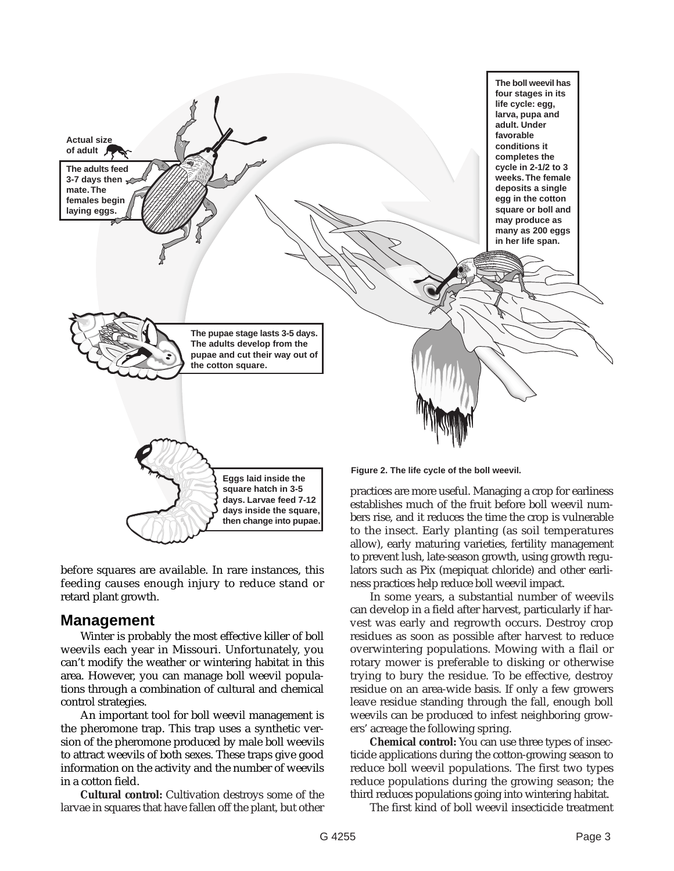

before squares are available. In rare instances, this feeding causes enough injury to reduce stand or retard plant growth.

**days inside the square, then change into pupae.**

#### **Management**

Winter is probably the most effective killer of boll weevils each year in Missouri. Unfortunately, you can't modify the weather or wintering habitat in this area. However, you can manage boll weevil populations through a combination of cultural and chemical control strategies.

An important tool for boll weevil management is the pheromone trap. This trap uses a synthetic version of the pheromone produced by male boll weevils to attract weevils of both sexes. These traps give good information on the activity and the number of weevils in a cotton field.

**Cultural control:** Cultivation destroys some of the larvae in squares that have fallen off the plant, but other establishes much of the fruit before boll weevil numbers rise, and it reduces the time the crop is vulnerable to the insect. Early planting (as soil temperatures allow), early maturing varieties, fertility management to prevent lush, late-season growth, using growth regulators such as Pix (mepiquat chloride) and other earliness practices help reduce boll weevil impact.

In some years, a substantial number of weevils can develop in a field after harvest, particularly if harvest was early and regrowth occurs. Destroy crop residues as soon as possible after harvest to reduce overwintering populations. Mowing with a flail or rotary mower is preferable to disking or otherwise trying to bury the residue. To be effective, destroy residue on an area-wide basis. If only a few growers leave residue standing through the fall, enough boll weevils can be produced to infest neighboring growers' acreage the following spring.

**Chemical control:** You can use three types of insecticide applications during the cotton-growing season to reduce boll weevil populations. The first two types reduce populations during the growing season; the third reduces populations going into wintering habitat.

The first kind of boll weevil insecticide treatment